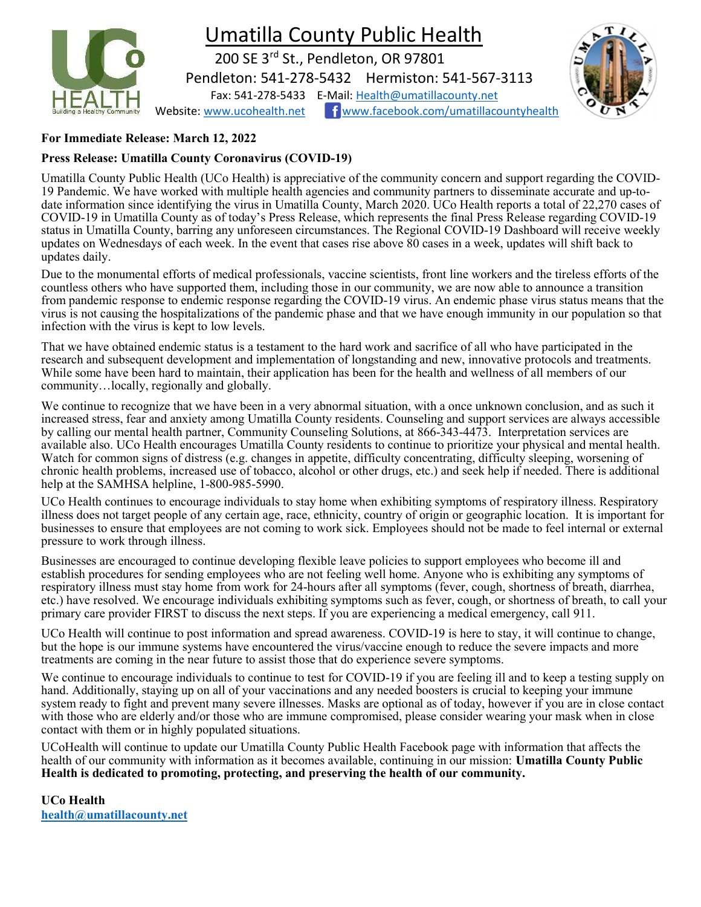

## For Immediate Release: March 12, 2022

## Press Release: Umatilla County Coronavirus (COVID-19)

Umatilla County Public Health (UCo Health) is appreciative of the community concern and support regarding the COVID-19 Pandemic. We have worked with multiple health agencies and community partners to disseminate accurate and up-todate information since identifying the virus in Umatilla County, March 2020. UCo Health reports a total of 22,270 cases of COVID-19 in Umatilla County as of today's Press Release, which represents the final Press Release regarding COVID-19 status in Umatilla County, barring any unforeseen circumstances. The Regional COVID-19 Dashboard will receive weekly updates on Wednesdays of each week. In the event that cases rise above 80 cases in a week, updates will shift back to updates daily.

Due to the monumental efforts of medical professionals, vaccine scientists, front line workers and the tireless efforts of the countless others who have supported them, including those in our community, we are now able to announce a transition from pandemic response to endemic response regarding the COVID-19 virus. An endemic phase virus status means that the virus is not causing the hospitalizations of the pandemic phase and that we have enough immunity in our population so that infection with the virus is kept to low levels.

That we have obtained endemic status is a testament to the hard work and sacrifice of all who have participated in the research and subsequent development and implementation of longstanding and new, innovative protocols and treatments. While some have been hard to maintain, their application has been for the health and wellness of all members of our community…locally, regionally and globally.

We continue to recognize that we have been in a very abnormal situation, with a once unknown conclusion, and as such it increased stress, fear and anxiety among Umatilla County residents. Counseling and support services are always accessible by calling our mental health partner, Community Counseling Solutions, at 866-343-4473. Interpretation services are available also. UCo Health encourages Umatilla County residents to continue to prioritize your physical and mental health. Watch for common signs of distress (e.g. changes in appetite, difficulty concentrating, difficulty sleeping, worsening of chronic health problems, increased use of tobacco, alcohol or other drugs, etc.) and seek help if needed. There is additional help at the SAMHSA helpline, 1-800-985-5990.

UCo Health continues to encourage individuals to stay home when exhibiting symptoms of respiratory illness. Respiratory illness does not target people of any certain age, race, ethnicity, country of origin or geographic location. It is important for businesses to ensure that employees are not coming to work sick. Employees should not be made to feel internal or external pressure to work through illness.

Businesses are encouraged to continue developing flexible leave policies to support employees who become ill and establish procedures for sending employees who are not feeling well home. Anyone who is exhibiting any symptoms of respiratory illness must stay home from work for 24-hours after all symptoms (fever, cough, shortness of breath, diarrhea, etc.) have resolved. We encourage individuals exhibiting symptoms such as fever, cough, or shortness of breath, to call your primary care provider FIRST to discuss the next steps. If you are experiencing a medical emergency, call 911.

UCo Health will continue to post information and spread awareness. COVID-19 is here to stay, it will continue to change, but the hope is our immune systems have encountered the virus/vaccine enough to reduce the severe impacts and more treatments are coming in the near future to assist those that do experience severe symptoms.

We continue to encourage individuals to continue to test for COVID-19 if you are feeling ill and to keep a testing supply on hand. Additionally, staying up on all of your vaccinations and any needed boosters is crucial to keeping your immune system ready to fight and prevent many severe illnesses. Masks are optional as of today, however if you are in close contact with those who are elderly and/or those who are immune compromised, please consider wearing your mask when in close contact with them or in highly populated situations.

UCoHealth will continue to update our Umatilla County Public Health Facebook page with information that affects the health of our community with information as it becomes available, continuing in our mission: Umatilla County Public Health is dedicated to promoting, protecting, and preserving the health of our community.

UCo Health health@umatillacounty.net